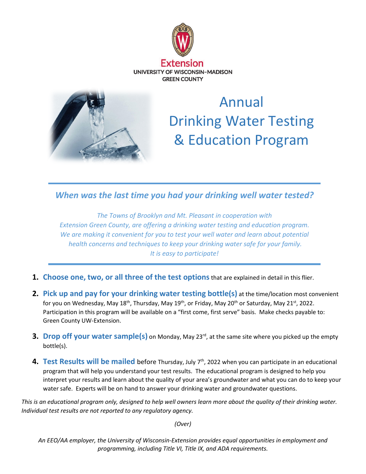



# Annual Drinking Water Testing & Education Program

### *When was the last time you had your drinking well water tested?*

*The Towns of Brooklyn and Mt. Pleasant in cooperation with Extension Green County, are offering a drinking water testing and education program. We are making it convenient for you to test your well water and learn about potential health concerns and techniques to keep your drinking water safe for your family. It is easy to participate!*

- **1. Choose one, two, or all three of the test options**that are explained in detail in this flier.
- **2. Pick up and pay for your drinking water testing bottle(s)** at the time/location most convenient for you on Wednesday, May 18<sup>th</sup>, Thursday, May 19<sup>th</sup>, or Friday, May 20<sup>th</sup> or Saturday, May 21<sup>st</sup>, 2022. Participation in this program will be available on a "first come, first serve" basis. Make checks payable to: Green County UW-Extension.
- **3. Drop off your water sample(s)** on Monday, May 23<sup>rd</sup>, at the same site where you picked up the empty bottle(s).
- **4. Test Results will be mailed** before Thursday, July 7<sup>th</sup>, 2022 when you can participate in an educational program that will help you understand your test results. The educational program is designed to help you interpret your results and learn about the quality of your area's groundwater and what you can do to keep your water safe. Experts will be on hand to answer your drinking water and groundwater questions.

*This is an educational program only, designed to help well owners learn more about the quality of their drinking water. Individual test results are not reported to any regulatory agency.*

*(Over)*

*An EEO/AA employer, the University of Wisconsin-Extension provides equal opportunities in employment and programming, including Title VI, Title IX, and ADA requirements.*